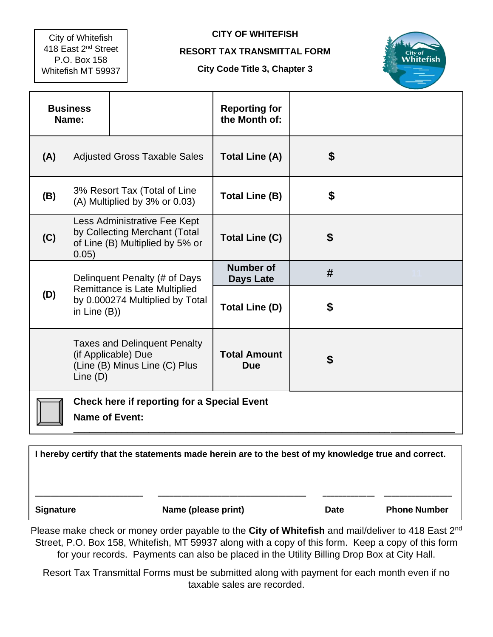City of Whitefish 418 East 2nd Street P.O. Box 158 Whitefish MT 59937

## **CITY OF WHITEFISH**

## **RESORT TAX TRANSMITTAL FORM**

## **City Code Title 3, Chapter 3**



| <b>Business</b><br>Name: |                                                                                                           |                                                                                             | <b>Reporting for</b><br>the Month of: |    |  |
|--------------------------|-----------------------------------------------------------------------------------------------------------|---------------------------------------------------------------------------------------------|---------------------------------------|----|--|
| (A)                      | <b>Adjusted Gross Taxable Sales</b>                                                                       |                                                                                             | <b>Total Line (A)</b>                 | \$ |  |
| (B)                      | 3% Resort Tax (Total of Line<br>$(A)$ Multiplied by 3% or 0.03)                                           |                                                                                             | <b>Total Line (B)</b>                 | \$ |  |
| (C)                      | Less Administrative Fee Kept<br>by Collecting Merchant (Total<br>of Line (B) Multiplied by 5% or<br>0.05) |                                                                                             | <b>Total Line (C)</b>                 | \$ |  |
|                          | Delinquent Penalty (# of Days                                                                             |                                                                                             | <b>Number of</b><br><b>Days Late</b>  | #  |  |
| (D)                      | Remittance is Late Multiplied<br>by 0.000274 Multiplied by Total<br>in Line $(B)$ )                       |                                                                                             | <b>Total Line (D)</b>                 | \$ |  |
|                          | Line $(D)$                                                                                                | <b>Taxes and Delinquent Penalty</b><br>(if Applicable) Due<br>(Line (B) Minus Line (C) Plus | <b>Total Amount</b><br><b>Due</b>     | \$ |  |
|                          | <b>Check here if reporting for a Special Event</b><br><b>Name of Event:</b>                               |                                                                                             |                                       |    |  |

**I hereby certify that the statements made herein are to the best of my knowledge true and correct. \_\_\_\_\_\_\_\_\_\_\_\_\_\_\_\_\_\_\_\_\_\_\_\_\_\_\_ \_\_\_\_\_\_\_\_\_\_\_\_\_\_\_\_\_\_\_\_\_\_\_\_\_\_\_\_\_\_\_\_\_\_\_\_\_ \_\_\_\_\_\_\_\_\_\_\_\_\_ \_\_\_\_\_\_\_\_\_\_\_\_\_\_\_\_\_ Signature Construction Signature Construction Name (please print) Date Phone Number** 

Please make check or money order payable to the **City of Whitefish** and mail/deliver to 418 East 2nd Street, P.O. Box 158, Whitefish, MT 59937 along with a copy of this form. Keep a copy of this form for your records. Payments can also be placed in the Utility Billing Drop Box at City Hall.

Resort Tax Transmittal Forms must be submitted along with payment for each month even if no taxable sales are recorded.